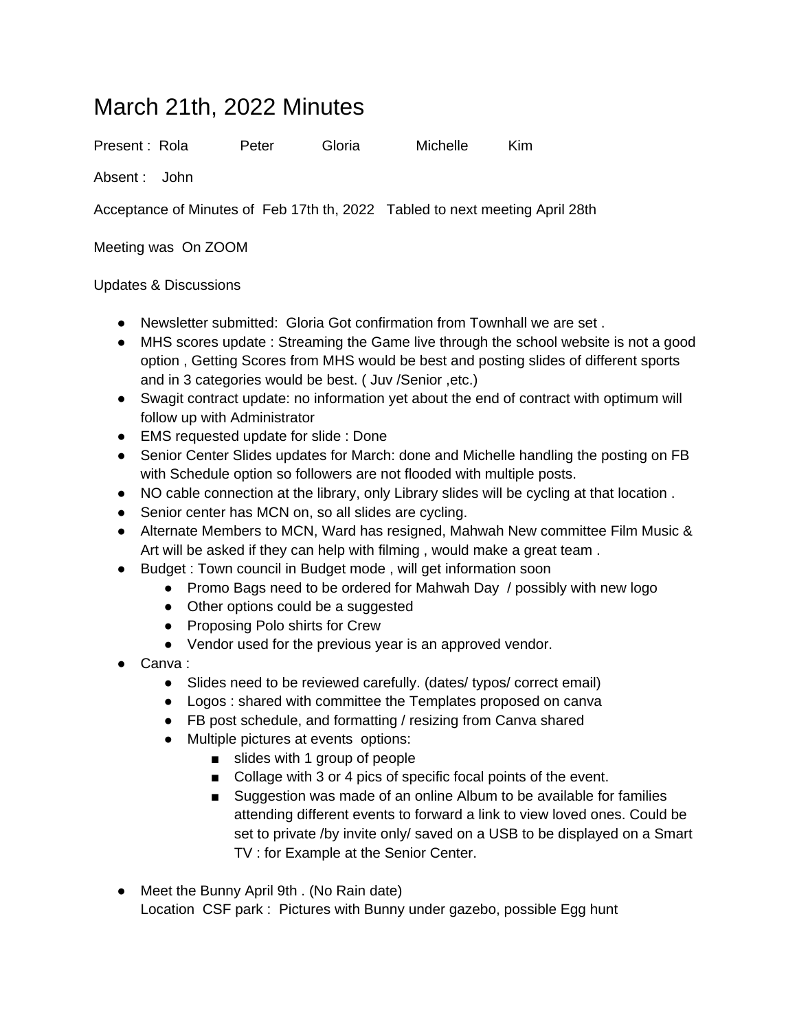## March 21th, 2022 Minutes

Present : Rola Peter Gloria Michelle Kim

Absent : John

Acceptance of Minutes of Feb 17th th, 2022 Tabled to next meeting April 28th

Meeting was On ZOOM

## Updates & Discussions

- Newsletter submitted: Gloria Got confirmation from Townhall we are set .
- MHS scores update : Streaming the Game live through the school website is not a good option , Getting Scores from MHS would be best and posting slides of different sports and in 3 categories would be best. ( Juv /Senior ,etc.)
- Swagit contract update: no information yet about the end of contract with optimum will follow up with Administrator
- EMS requested update for slide : Done
- Senior Center Slides updates for March: done and Michelle handling the posting on FB with Schedule option so followers are not flooded with multiple posts.
- NO cable connection at the library, only Library slides will be cycling at that location .
- Senior center has MCN on, so all slides are cycling.
- Alternate Members to MCN, Ward has resigned, Mahwah New committee Film Music & Art will be asked if they can help with filming , would make a great team .
- Budget : Town council in Budget mode, will get information soon
	- Promo Bags need to be ordered for Mahwah Day / possibly with new logo
	- Other options could be a suggested
	- Proposing Polo shirts for Crew
	- Vendor used for the previous year is an approved vendor.
- Canva <sup>-</sup>
	- Slides need to be reviewed carefully. (dates/ typos/ correct email)
	- Logos : shared with committee the Templates proposed on canva
	- FB post schedule, and formatting / resizing from Canva shared
	- Multiple pictures at events options:
		- slides with 1 group of people
		- Collage with 3 or 4 pics of specific focal points of the event.
		- Suggestion was made of an online Album to be available for families attending different events to forward a link to view loved ones. Could be set to private /by invite only/ saved on a USB to be displayed on a Smart TV : for Example at the Senior Center.
- Meet the Bunny April 9th . (No Rain date) Location CSF park : Pictures with Bunny under gazebo, possible Egg hunt